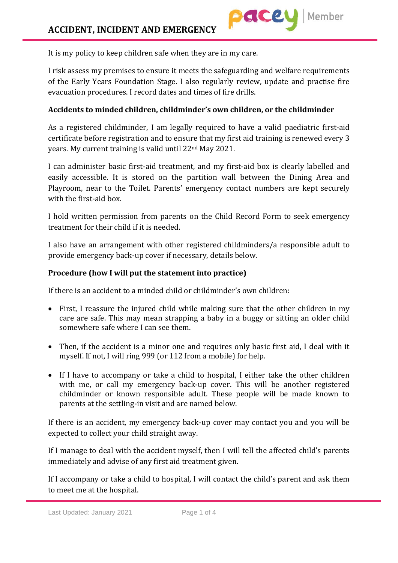It is my policy to keep children safe when they are in my care.

I risk assess my premises to ensure it meets the safeguarding and welfare requirements of the Early Years Foundation Stage. I also regularly review, update and practise fire evacuation procedures. I record dates and times of fire drills.

## **Accidents to minded children, childminder's own children, or the childminder**

As a registered childminder, I am legally required to have a valid paediatric first-aid certificate before registration and to ensure that my first aid training is renewed every 3 years. My current training is valid until 22nd May 2021.

I can administer basic first-aid treatment, and my first-aid box is clearly labelled and easily accessible. It is stored on the partition wall between the Dining Area and Playroom, near to the Toilet. Parents' emergency contact numbers are kept securely with the first-aid box.

I hold written permission from parents on the Child Record Form to seek emergency treatment for their child if it is needed.

I also have an arrangement with other registered childminders/a responsible adult to provide emergency back-up cover if necessary, details below.

## **Procedure (how I will put the statement into practice)**

If there is an accident to a minded child or childminder's own children:

- First, I reassure the injured child while making sure that the other children in my care are safe. This may mean strapping a baby in a buggy or sitting an older child somewhere safe where I can see them.
- Then, if the accident is a minor one and requires only basic first aid, I deal with it myself. If not, I will ring 999 (or 112 from a mobile) for help.
- If I have to accompany or take a child to hospital, I either take the other children with me, or call my emergency back-up cover. This will be another registered childminder or known responsible adult. These people will be made known to parents at the settling-in visit and are named below.

If there is an accident, my emergency back-up cover may contact you and you will be expected to collect your child straight away.

If I manage to deal with the accident myself, then I will tell the affected child's parents immediately and advise of any first aid treatment given.

If I accompany or take a child to hospital, I will contact the child's parent and ask them to meet me at the hospital.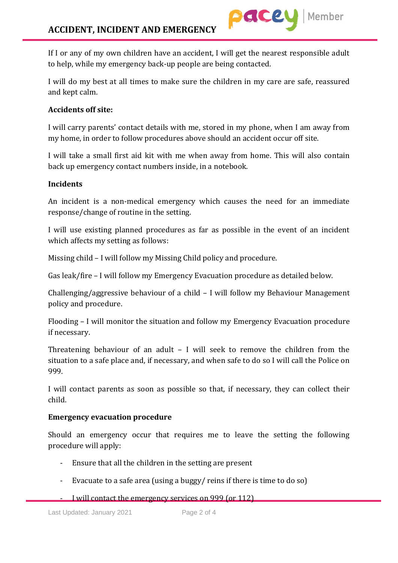If I or any of my own children have an accident, I will get the nearest responsible adult to help, while my emergency back-up people are being contacted.

I will do my best at all times to make sure the children in my care are safe, reassured and kept calm.

# **Accidents off site:**

I will carry parents' contact details with me, stored in my phone, when I am away from my home, in order to follow procedures above should an accident occur off site.

I will take a small first aid kit with me when away from home. This will also contain back up emergency contact numbers inside, in a notebook.

## **Incidents**

An incident is a non-medical emergency which causes the need for an immediate response/change of routine in the setting.

I will use existing planned procedures as far as possible in the event of an incident which affects my setting as follows:

Missing child – I will follow my Missing Child policy and procedure.

Gas leak/fire – I will follow my Emergency Evacuation procedure as detailed below.

Challenging/aggressive behaviour of a child – I will follow my Behaviour Management policy and procedure.

Flooding – I will monitor the situation and follow my Emergency Evacuation procedure if necessary.

Threatening behaviour of an adult – I will seek to remove the children from the situation to a safe place and, if necessary, and when safe to do so I will call the Police on 999.

I will contact parents as soon as possible so that, if necessary, they can collect their child.

## **Emergency evacuation procedure**

Should an emergency occur that requires me to leave the setting the following procedure will apply:

- Ensure that all the children in the setting are present
- Evacuate to a safe area (using a buggy/ reins if there is time to do so)
- I will contact the emergency services on 999 (or 112)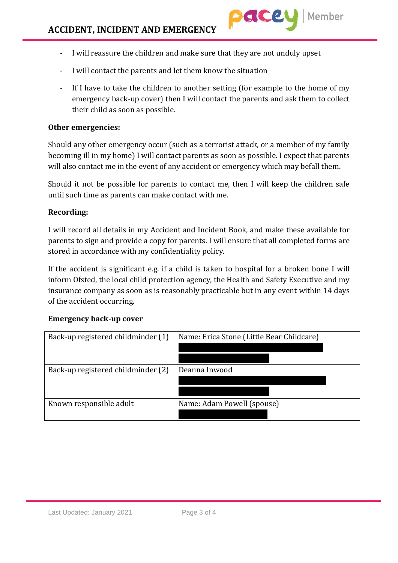- I will reassure the children and make sure that they are not unduly upset
- I will contact the parents and let them know the situation
- If I have to take the children to another setting (for example to the home of my emergency back-up cover) then I will contact the parents and ask them to collect their child as soon as possible.

#### **Other emergencies:**

Should any other emergency occur (such as a terrorist attack, or a member of my family becoming ill in my home) I will contact parents as soon as possible. I expect that parents will also contact me in the event of any accident or emergency which may befall them.

Should it not be possible for parents to contact me, then I will keep the children safe until such time as parents can make contact with me.

#### **Recording:**

I will record all details in my Accident and Incident Book, and make these available for parents to sign and provide a copy for parents. I will ensure that all completed forms are stored in accordance with my confidentiality policy.

If the accident is significant e.g. if a child is taken to hospital for a broken bone I will inform Ofsted, the local child protection agency, the Health and Safety Executive and my insurance company as soon as is reasonably practicable but in any event within 14 days of the accident occurring.

#### **Emergency back-up cover**

| Back-up registered childminder (1) | Name: Erica Stone (Little Bear Childcare) |
|------------------------------------|-------------------------------------------|
|                                    |                                           |
| Back-up registered childminder (2) | Deanna Inwood                             |
|                                    |                                           |
|                                    |                                           |
| Known responsible adult            | Name: Adam Powell (spouse)                |
|                                    |                                           |